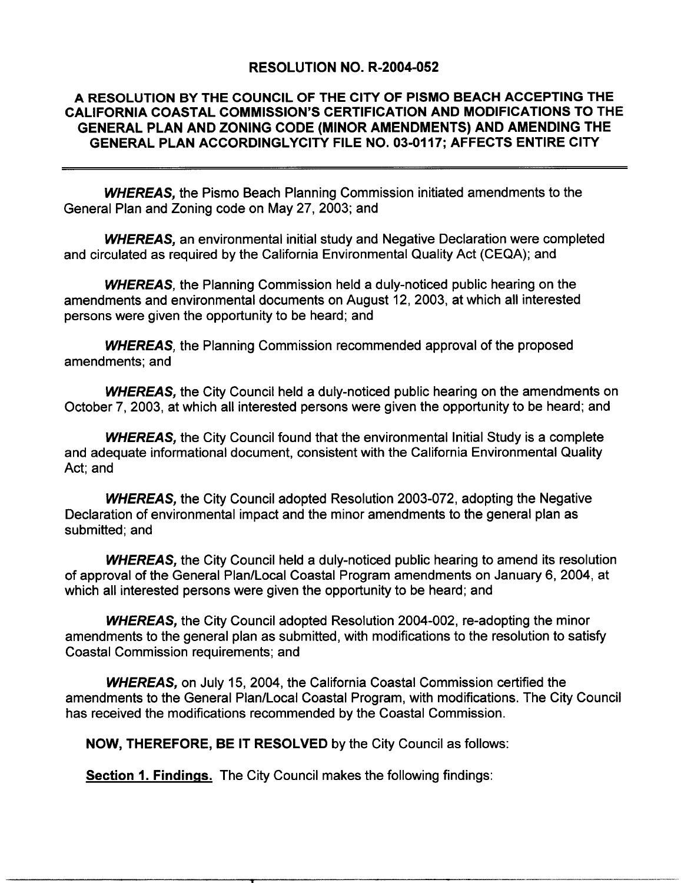#### RESOLUTION NO. R-2004-052

# A RESOLUTION BY THE COUNCIL OF THE CITY OF PISMO BEACH ACCEPTING THE CALIFORNIA COASTAL COMMISSION'S CERTIFICATION AND MODIFICATIONS TO THE RESOLUTION NO. R-2004-052<br>A RESOLUTION BY THE COUNCIL OF THE CITY OF PISMO BEACH ACCEPTING THE<br>CALIFORNIA COASTAL COMMISSION'S CERTIFICATION AND MODIFICATIONS TO THE<br>GENERAL PLAN AND ZONING CODE (MINOR AMENDMENTS) AND AMEN SENERAL PLAN AND ZONING CODE (MINOR AMENDMENTS) AND AMENDING THE GENERAL PLAN ACCORDINGLYCITY FILE NO. 03-0117; AFFECTS ENTIRE CITY

**WHEREAS, the Pismo Beach Planning Commission initiated amendments to the** General Plan and Zoning code on May 27, 2003; and

**WHEREAS, an environmental initial study and Negative Declaration were completed** and circulated as required by the California Environmental Quality Act (CEQA); and

WHEREAS, the Planning Commission held a duly-noticed public hearing on the amendments and environmental documents on August 12, 2003, at which all interested persons were given the opportunity to be heard; and

**WHEREAS**, the Planning Commission recommended approval of the proposed amendments; and

WHEREAS, the City Council held a duly-noticed public hearing on the amendments on October 7, 2003, at which all interested persons were given the opportunity to be heard; and

**WHEREAS, the City Council found that the environmental Initial Study is a complete** and adequate informational document, consistent with the California Environmental Quality Act: and

**WHEREAS, the City Council adopted Resolution 2003-072, adopting the Negative** Declaration of environmental impact and the minor amendments to the general plan as submitted; and

WHEREAS, the City Council held a duly-noticed public hearing to amend its resolution of approval of the General Plan/Local Coastal Program amendments of announcing its resolution<br>of approval of the General Plan/Local Coastal Program amendments on January 6, 2004, at<br>which all interested persons were given **WHEREAS, the City Council held a duly-noticed public hearing to of approval of the General Plan/Local Coastal Program amendments on which all interested persons were given the opportunity to be heard; and program and prog** 

of approval of the General Plan/Local Coastal Program amendments on January 6, 2004, at<br>which all interested persons were given the opportunity to be heard; and<br>**WHEREAS**, the City Council adopted Resolution 2004-002, re-a ond Commission requirements; and<br>MHEREAS, on July 15, 2004, the California Coastal Commission certified the<br>ments to the General Plan/Local Coastal Program, with modifications. The City **WHEREAS, on July 15, 2004, the California Coastal Commission c** amendments to the General Plan/Local Coastal Program, with modification<br>has received the modifications recommended by the Coastal Commission. WHEREAS, on July 15, 2004, the California Coastal Commission condments to the General Plan/Local Coastal Program, with modification<br>received the modifications recommended by the Coastal Commission.<br>NOW, THEREFORE, BE IT RE

**Section 1. Findings.** The City Council makes the following findings: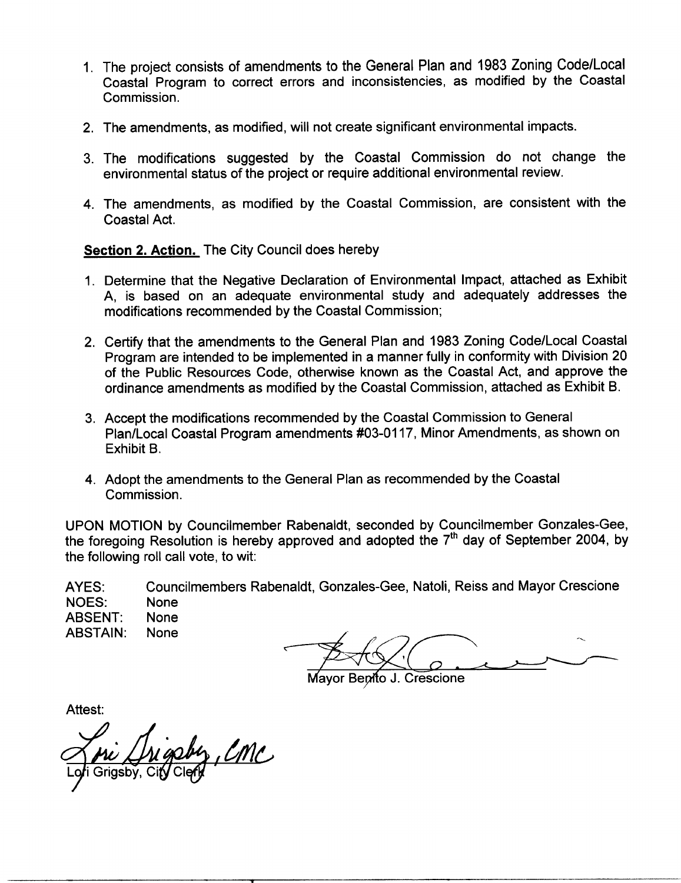- 1. The project consists of amendments to the General Plan and 1983 Zoning Code/Local The project consists of amendments to the General Plan and 1983 Zoning<br>Coastal Program to correct errors and inconsistencies, as modified by<br>Commission. The project co<br>Coastal Progr<br>Commission.<br>The amendme tne Coastal The project consists of amendments to the General Fian and 1000 Eoming 600<br>Coastal Program to correct errors and inconsistencies, as modified by the<br>3. The amendments, as modified, will not create significant environmental
- 
- 2. The amendments, as modified, will not create significant environmental impacts.<br>3. The modifications suggested by the Coastal Commission do not change the environmental status of the project or require additional enviro 2. The amendments, as modified, will not create significant environmental impacts.<br>3. The modifications suggested by the Coastal Commission do not chan environmental status of the project or require additional environmenta
- The modifications suggested by the Coastal Commission do not change the environmental status of the project or require additional environmental review.<br>4. The amendments, as modified by the Coastal Commission, are consiste Coastal Act. 1. The amendments, as modified by the Coastal Commission, are consistent with the<br>
Coastal Act.<br>
Section 2. Action. The City Council does hereby<br>
1. Determine that the Negative Declaration of Environmental Impact, attached

- Coastal Act.<br> **ttion 2. Action.** The City Council does hereby<br>
Determine that the Negative Declaration of Environmental Impact, attached as Exhibit<br>
A, is based on an adequate environmental study and adequately addresses t **Commendial Constraint Constrained by Commission**<br>A, is based on an adequate environmental study are<br>modifications recommended by the Coastal Commission; Determine that the Negative Declaration of Environmental Impact, attached as Exhibit<br>A, is based on an adequate environmental study and adequately addresses the<br>modifications recommended by the Coastal Commission;<br>Certify
- Determine that the Negative Declaration<br>A, is based on an adequate environm<br>modifications recommended by the Coast<br>Certify that the amendments to the Gene<br>Program are intended to be implemented<br>of the Public Resources Code ar Commission,<br>ral Plan and 1983 Zoning Code/Local Coastal<br>in a manner fully in conformity with Division 20<br>؛ known as the Coastal Act, and approve the Certify that the amendments to the General Plan and 1983 Zoning Code/Local Coastal<br>Program are intended to be implemented in a manner fully in conformity with Division 20<br>of the Public Resources Code, otherwise known as th
- of the Public Resources Code, otherwise known as the Coastal Act, and appordinance amendments as modified by the Coastal Commission, attached as E<br>Accept the modifications recommended by the Coastal Commission to General<br>P ordinance amendments as modified by the Coastal Commission, attached as Exhibit B.<br>Accept the modifications recommended by the Coastal Commission to General<br>Plan/Local Coastal Program amendments #03-0117, Minor Amendments, Exhibit B.
- 4. Adopt the amendments to the General Plan as recommended by the Coastal Commission Exhibit B.<br>Adopt the am<br>Commission.

4. Adopt the amendments to the General Plan as recommended by the Coastal<br>Commission.<br>UPON MOTION by Councilmember Rabenaldt, seconded by Councilmember Gonzales-Gee,<br>the foregoing Resolution is hereby approved and adopted the following roll call vote, to wit: ission.<br>ON by Councilmember Rabenaldt, seconded by Councilmember Gonzales-Gee<br>Resolution is hereby approved and adopted the 7<sup>th</sup> day of September 2004, by<br>oll call vote, to wit:<br>Councilmembers Rabenaldt, Gonzales-Gee, Nat

AYES: NOES: None ABSENT: None<br>ABSTAIN: None ABSTAIN:

Mavor Benito J. Crescione

Attest:

<u>, Emc</u>  $\sqrt{2}$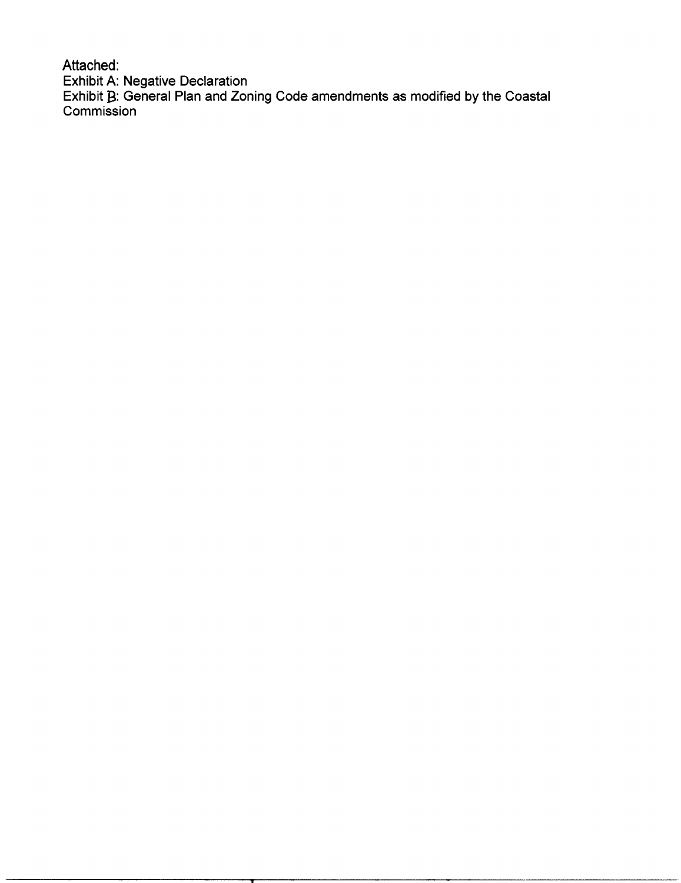Attached: Exhibit A: Negative Declaration  $\mathsf E$ xhibit  $\mathbf B$ : General Plan and Zoning Code amendments as modified by the Coastal Commission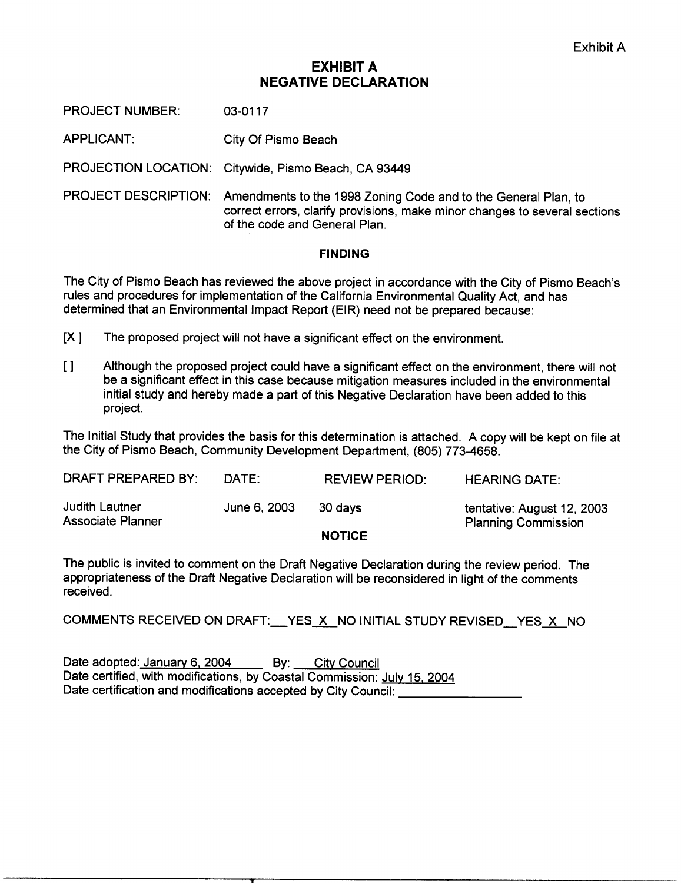# EXHIBIT A NEGATIVE DECLARATION

PROJECT NUMBER: 03-0117

APPLICANT: City Of Pismo Beach

PROJECTION LOCATION: Citywide, Pismo Beach, CA 93449

PROJECT DESCRIPTION: Amendments to the 1998 Zoning Code and to the General Plan, to correct errors, clarify provisions, make minor changes to several sections of the code and General Plan

#### **FINDING**

The City of Pismo Beach has reviewed the above project in accordance with the City of Pismo Beach s rules and procedures for implementation of the California Environmental Quality Act, and has determined that an Environmental Impact Report (EIR) need not be prepared because:

- $[X]$  The proposed project will not have a significant effect on the environment.
- $\mathbf{I}$ Although the proposed project could have a significant effect on the environment, there will not be a significant effect in this case because mitigation measures included in the environmental initial study and hereby made a part of this Negative Declaration have been added to this project

The Initial Study that provides the basis for this determination is attached. A copy will be kept on file at<br>the City of Pismo Beach, Community Development Department, (805) 773-4658.

|                                                   |              | NATICE                | <b>Planning Commission</b> |
|---------------------------------------------------|--------------|-----------------------|----------------------------|
| <b>Judith Lautner</b><br><b>Associate Planner</b> | June 6, 2003 | 30 davs               | tentative: August 12, 2003 |
| DRAFT PREPARED BY:                                | DATE:        | <b>REVIEW PERIOD:</b> | <b>HEARING DATE:</b>       |
|                                                   |              |                       |                            |

NOTICE

The public is invited to comment on the Draft Negative Declaration during the review period. The appropriateness of the Draft Negative Declaration will be reconsidered in light of the comments received

COMMENTS RECEIVED ON DRAFT: YES X NO INITIAL STUDY REVISED YES X NO

Date adopted: January 6, 2004 By: City Council Date certified, with modifications, by Coastal Commission: July 15, 2004 Date certification and modifications accepted by City Council: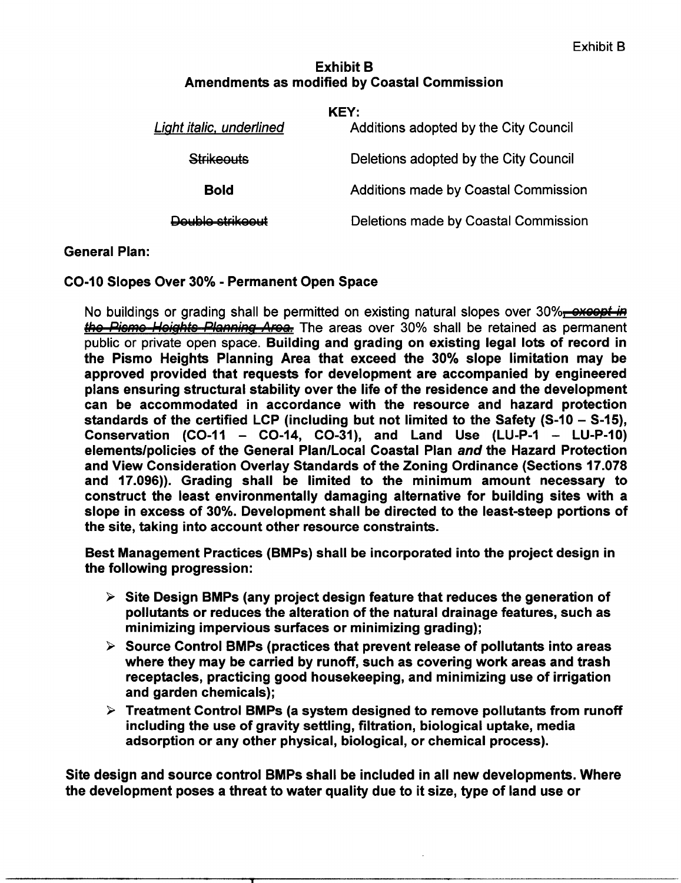# Exhibit B Amendments as modified by Coastal Commission

| KEY:                     |                                             |  |
|--------------------------|---------------------------------------------|--|
| Light italic, underlined | Additions adopted by the City Council       |  |
| <b>Strikeouts</b>        | Deletions adopted by the City Council       |  |
| <b>Bold</b>              | <b>Additions made by Coastal Commission</b> |  |
| Doublo etrikoout         | Deletions made by Coastal Commission        |  |

# General Plan

CO-10 Slopes Over 30% - Permanent Open Space

No buildings or grading shall be permitted on existing natural slopes over  $30\%$ <del>, oxcopt in</del> Slopes Over 30% - Permanent Open Space<br>puildings or grading shall be permitted on existing natural slopes over 30%<del>, oxcept in</del><br>Pieme Heights Planning Area. The areas over 30% shall be retained as permanent<br>is ar private o public or private open space. Building and grading on existing legal lots of record in the Pismo Heights Planning Area that exceed the 30% slope limitation may be approved provided that requests for development are accompanied by engineered plans ensuring structural stability over the life of the residence and the development<br>can be accommodated in accordance with the resource and hazard protection<br>standards of the certified LCP (including but not limited to can be accommodated in accordance with the resource and hazard protection plans ensuring structural stability over the life of the residence and the development<br>can be accommodated in accordance with the resource and hazard protection<br>standards of the certified LCP (including but not l the Pismo Heights Planning Area that exceed the 30% slope limitation may be<br>approved provided that requests for development are accompanied by engineered<br>plans ensuring structural stability over the life of the residence a standards of the certified LCP (including but not limited to the Safety (S-10 – S-15),<br>Conservation (CO-11 – CO-14, CO-31), and Land Use (LU-P-1 – LU-P-10) elements/policies of the General Plan/Local Coastal Plan and the Hazard Protection<br>and View Consideration Overlay Standards of the Zoning Ordinance (Sections 17.078<br>and 17.096)). Grading shall be limited to the minimum amo and 17.096)). Grading shall be limited to the minimum amount necessary to construct the least environmentally damaging alternative for building sites with a slope in excess of 30%. Development shall be directed to the leas and View Consideration Overlay Standards of the Zoning Ordinance (Sections 17.078 the site, taking into account other resource constraints.

Best Management Practices (BMPs) shall be incorporated into the project design in the following progression:

- Is any progression:<br>Site Design BMPs (any project design feature that reduces the generation of<br>pollutants or reduces the alteration of the natural drainage features, such as<br>minimizing impervious surfaces or minimizing gr
- pollutants or requces the alteration or the natural drainage reatures, such as<br>minimizing impervious surfaces or minimizing grading);<br>Source Control BMPs (practices that prevent release of pollutants into areas<br>where they Source Control BMPs (practices that prevent release of pollutants into areas<br>where they may be carried by runoff, such as covering work areas and trash<br>receptacles, practicing good bousekeeping, and minimizing use of irrig minimizing impervious surfaces or minimizing grading);<br>Source Control BMPs (practices that prevent release of pollutants into areas<br>where they may be carried by runoff, such as covering work areas and trash<br>receptacles, pr and garden chemicals): where they may be carried by runoff, such as covering work areas and trash<br>receptacles, practicing good housekeeping, and minimizing use of irrigation<br>and garden chemicals);<br> $\triangleright$  Treatment Control BMPs (a system designe
- Treatment Control BMPs (a system designed to remove pollutants fron<br>including the use of gravity settling, filtration, biological uptake, media<br>adsorption or any other physical, biological, or chemical process). and garden chemicals);<br>
> Treatment Control BMPs (a system designed to remove pollutan<br>
including the use of gravity settling, filtration, biological uptake,<br>
adsorption or any other physical, biological, or chemical proce

Site design and source control BMPs shall be included in all new developments. Where<br>the development poses a threat to water quality due to it size, type of land use or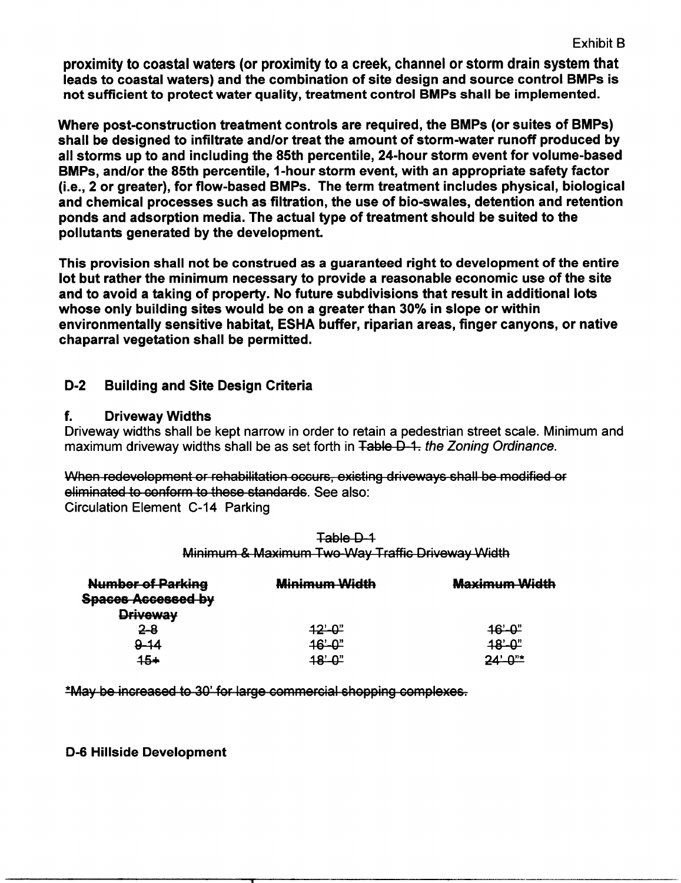Exhibit B

proximity to coastal waters (or proximity to a creek, channel or storm drain system that leads to coastal waters) and the combination of site design and source control BMPs is not sufficient to protect water quality, treatment control BMPs shall be implemented.

not sufficient to protect water quality, treatment control BMPs shall be implemented.<br>Where post-construction treatment controls are required, the BMPs (or suites of BMPs)<br>shall be designed to infiltrate and/or treat the a shall be designed to infiltrate and/or treat the amount of SMPs (or suites of BMPs)<br>shall be designed to infiltrate and/or treat the amount of storm-water runoff produced by<br>all storms up to and including the 85th percenti Where post-construction treatment controls are required, the BMPs (or suites of BMPs)<br>shall be designed to infiltrate and/or treat the amount of storm-water runoff produced by<br>all storms up to and including the 85th percen proximity to coastal waters (or proximity to a creek, channel or storm drain syste<br>leads to coastal waters) and the combination of site design and source control B<br>not sufficient to protect water quality, treatment control ויים<br>uced ł<br>e-bas<br>factor<br>iologi an otenne up to and merdaing are coan percention, and note occurrent counter verally factor<br>BMPs, and/or the 85th percentile, 1-hour storm event, with an appropriate safety factor<br>(i.e., 2 or greater), for flow-based BMPs. Bur-s, and/or the our percentie, 1-noth storm event, while an appropriate safety factor<br>(i.e., 2 or greater), for flow-based BMPs. The term treatment includes physical, biologica<br>and chemical processes such as filtration, and chemical processes such as filtration, the use of bio-swales, detention and retention<br>ponds and adsorption media. The actual type of treatment should be suited to the<br>pollutants generated by the development.

This provision shall not be construed as a guaranteed right to development of the entire<br>lot but rather the minimum necessary to provide a reasonable economic use of the site and to avoid a taking of property. No future subdivisions that result in additional lots and to avoid a taking of property. No future subdivisions that result in addit<br>whose only building sites would be on a greater than 30% in slope or within<br>onvironmentally sensitive babitat. ESHA buffer, riparian areas, fin environmentally sensitive habitat, ESHA buffer, riparian areas, finger canyons, or native chaparral vegetation shall be permitted. This provision shall not be construed as<br>lot but rather the minimum necessary to<br>and to avoid a taking of property. No fut<br>whose only building sites would be on a<br>environmentally sensitive habitat, ESHA<br>chaparral vegetatio ot but rather the minimum nece<br>
and to avoid a taking of propert<br>
whose only building sites would<br>
invironmentally sensitive habit<br>
chaparral vegetation shall be pe<br>
D-2 Building and Site Design<br>
f. Driveway Widths

# **Building and Site Design Criteria**

### f. Driveway Widths

Driveway widths shall be kept narrow in order to retain a pedestrian street scale. Minimum and widths shallbe as set forth in the Zoning Ordinance <sup>a</sup>k

**D-2 Buildin<br>f. Drivew<br>Driveway widt<br>maximum driv<br><del>When redevel</del><br>eliminated to c<br>Circulation Ele** maximum driveway widths shall be as set forth in Table D-1. the Zoning Ordinance.<br>When redevelopment or rehabilitation occurs, existing driveways shall be modified of eliminated to conform to these standards. See also:<br>Cir When redevelopment or rehabilitation occurs, existing driveways shall be modified or **Exalus Widths<br>
Example 15 Anally be kept narrely**<br>
14 Allen Books and the setting<br>
14 Allen Books and the setting<br>
24 Allen Books and the setting<br>
24 Allen Books and the Setting<br>
24 Allen Books and the Setting<br>
24 Allen B

| <b>Number of Parking</b><br><b>Spaces Accessed by</b> | <b>Minimum Width</b> | <b>Maximum Width</b> |
|-------------------------------------------------------|----------------------|----------------------|
| <b>Driveway</b>                                       |                      |                      |
| 2-8                                                   | 12'-0"               | $46 - 0$             |
| $-14$                                                 | 16'-0"               | <u> 18' വ"</u>       |
| 45+                                                   | ייחים                |                      |

Fable D-1<br>Minimum & Maximum Two Way Traffic Driveway Width

\*May be increased to 30' for large commercial shopping complexes.

D-6 Hillside Development